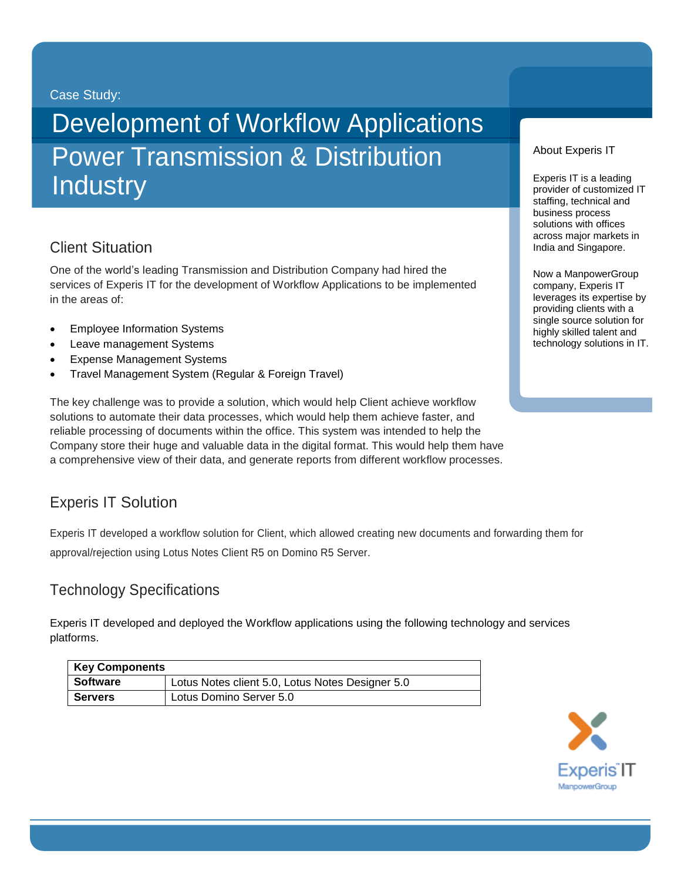#### Case Study:

# Development of Workflow Applications Power Transmission & Distribution **Industry**

## Client Situation

One of the world's leading Transmission and Distribution Company had hired the services of Experis IT for the development of Workflow Applications to be implemented in the areas of:

- Employee Information Systems
- Leave management Systems
- Expense Management Systems
- Travel Management System (Regular & Foreign Travel)

The key challenge was to provide a solution, which would help Client achieve workflow solutions to automate their data processes, which would help them achieve faster, and reliable processing of documents within the office. This system was intended to help the Company store their huge and valuable data in the digital format. This would help them have a comprehensive view of their data, and generate reports from different workflow processes.

## Experis IT Solution

Experis IT developed a workflow solution for Client, which allowed creating new documents and forwarding them for approval/rejection using Lotus Notes Client R5 on Domino R5 Server.

### Technology Specifications

Experis IT developed and deployed the Workflow applications using the following technology and services platforms.

| <b>Key Components</b> |                                                  |
|-----------------------|--------------------------------------------------|
| <b>Software</b>       | Lotus Notes client 5.0, Lotus Notes Designer 5.0 |
| <b>Servers</b>        | Lotus Domino Server 5.0                          |



#### About Experis IT

Experis IT is a leading provider of customized IT staffing, technical and business process solutions with offices across major markets in India and Singapore.

Now a ManpowerGroup company, Experis IT leverages its expertise by providing clients with a single source solution for highly skilled talent and technology solutions in IT.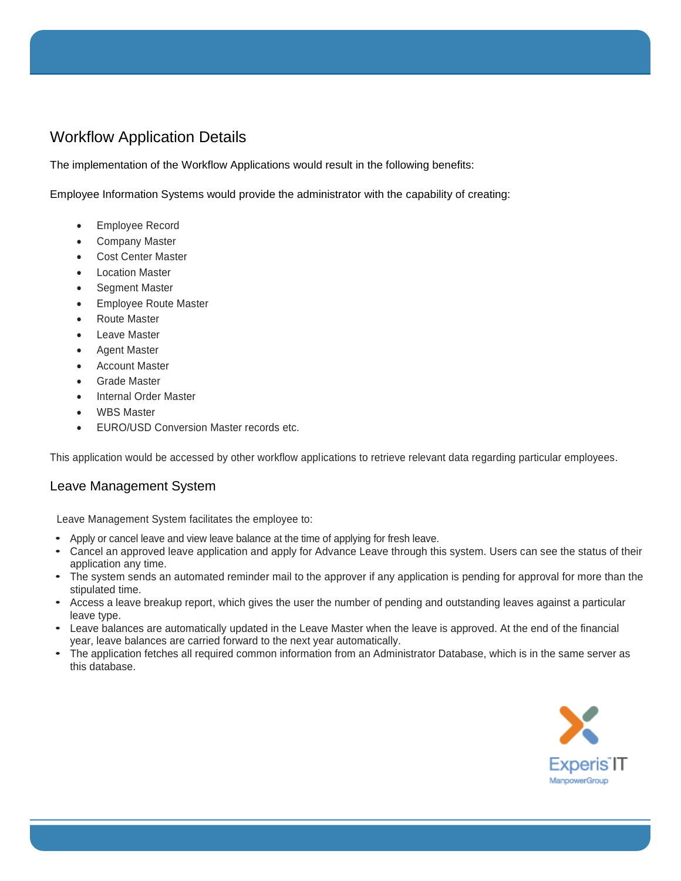## Workflow Application Details

The implementation of the Workflow Applications would result in the following benefits:

Employee Information Systems would provide the administrator with the capability of creating:

- Employee Record
- Company Master
- Cost Center Master
- Location Master
- Segment Master
- Employee Route Master
- Route Master
- Leave Master
- Agent Master
- Account Master
- Grade Master
- Internal Order Master
- WBS Master
- EURO/USD Conversion Master records etc.

This application would be accessed by other workflow applications to retrieve relevant data regarding particular employees.

#### Leave Management System

Leave Management System facilitates the employee to:

- Apply or cancel leave and view leave balance at the time of applying for fresh leave.
- Cancel an approved leave application and apply for Advance Leave through this system. Users can see the status of their application any time.
- The system sends an automated reminder mail to the approver if any application is pending for approval for more than the stipulated time.
- Access a leave breakup report, which gives the user the number of pending and outstanding leaves against a particular leave type.
- Leave balances are automatically updated in the Leave Master when the leave is approved. At the end of the financial year, leave balances are carried forward to the next year automatically.
- The application fetches all required common information from an Administrator Database, which is in the same server as this database.

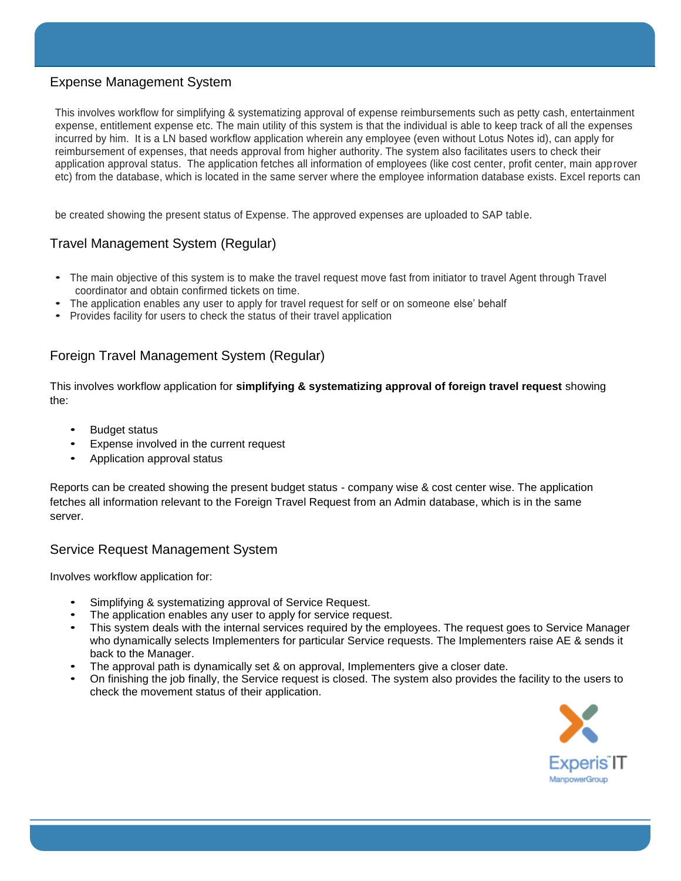#### Expense Management System

This involves workflow for simplifying & systematizing approval of expense reimbursements such as petty cash, entertainment expense, entitlement expense etc. The main utility of this system is that the individual is able to keep track of all the expenses incurred by him. It is a LN based workflow application wherein any employee (even without Lotus Notes id), can apply for reimbursement of expenses, that needs approval from higher authority. The system also facilitates users to check their application approval status. The application fetches all information of employees (like cost center, profit center, main approver etc) from the database, which is located in the same server where the employee information database exists. Excel reports can

be created showing the present status of Expense. The approved expenses are uploaded to SAP table.

#### Travel Management System (Regular)

- The main objective of this system is to make the travel request move fast from initiator to travel Agent through Travel coordinator and obtain confirmed tickets on time.
- The application enables any user to apply for travel request for self or on someone else' behalf
- Provides facility for users to check the status of their travel application

#### Foreign Travel Management System (Regular)

This involves workflow application for **simplifying & systematizing approval of foreign travel request** showing the:

- Budget status
- Expense involved in the current request
- Application approval status

Reports can be created showing the present budget status - company wise & cost center wise. The application fetches all information relevant to the Foreign Travel Request from an Admin database, which is in the same server.

#### Service Request Management System

Involves workflow application for:

- Simplifying & systematizing approval of Service Request.
- The application enables any user to apply for service request.
- This system deals with the internal services required by the employees. The request goes to Service Manager who dynamically selects Implementers for particular Service requests. The Implementers raise AE & sends it back to the Manager.
- The approval path is dynamically set & on approval, Implementers give a closer date.
- On finishing the job finally, the Service request is closed. The system also provides the facility to the users to check the movement status of their application.